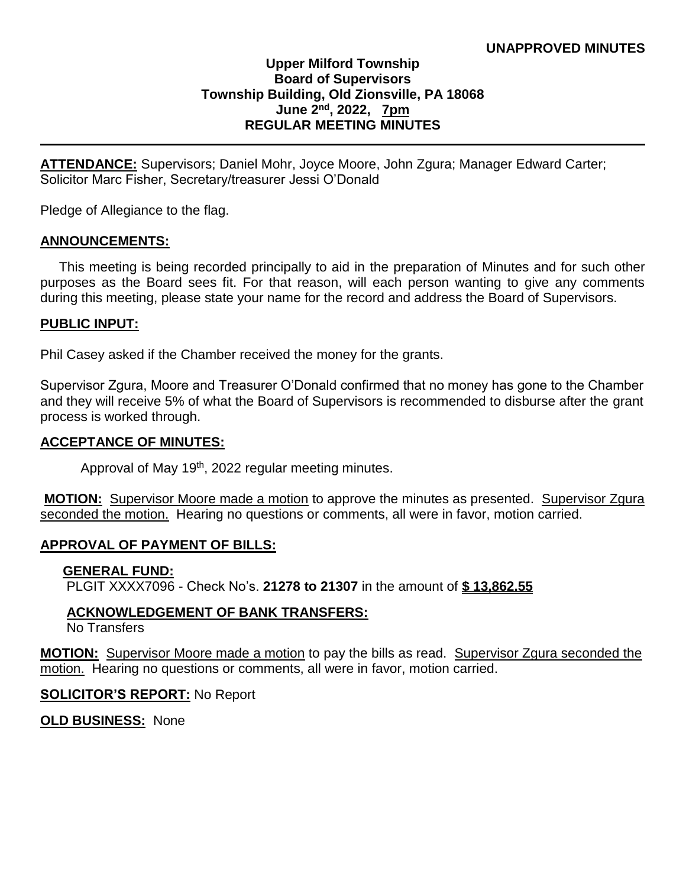### **Upper Milford Township Board of Supervisors Township Building, Old Zionsville, PA 18068 June 2 nd, 2022, 7pm REGULAR MEETING MINUTES**

**ATTENDANCE:** Supervisors; Daniel Mohr, Joyce Moore, John Zgura; Manager Edward Carter; Solicitor Marc Fisher, Secretary/treasurer Jessi O'Donald

Pledge of Allegiance to the flag.

### **ANNOUNCEMENTS:**

 This meeting is being recorded principally to aid in the preparation of Minutes and for such other purposes as the Board sees fit. For that reason, will each person wanting to give any comments during this meeting, please state your name for the record and address the Board of Supervisors.

### **PUBLIC INPUT:**

Phil Casey asked if the Chamber received the money for the grants.

Supervisor Zgura, Moore and Treasurer O'Donald confirmed that no money has gone to the Chamber and they will receive 5% of what the Board of Supervisors is recommended to disburse after the grant process is worked through.

#### **ACCEPTANCE OF MINUTES:**

Approval of May 19<sup>th</sup>, 2022 regular meeting minutes.

**MOTION:** Supervisor Moore made a motion to approve the minutes as presented. Supervisor Zgura seconded the motion. Hearing no questions or comments, all were in favor, motion carried.

### **APPROVAL OF PAYMENT OF BILLS:**

#### **GENERAL FUND:**

PLGIT XXXX7096 - Check No's. **21278 to 21307** in the amount of **\$ 13,862.55**

### **ACKNOWLEDGEMENT OF BANK TRANSFERS:**

No Transfers

**MOTION:** Supervisor Moore made a motion to pay the bills as read. Supervisor Zgura seconded the motion. Hearing no questions or comments, all were in favor, motion carried.

#### **SOLICITOR'S REPORT:** No Report

**OLD BUSINESS:** None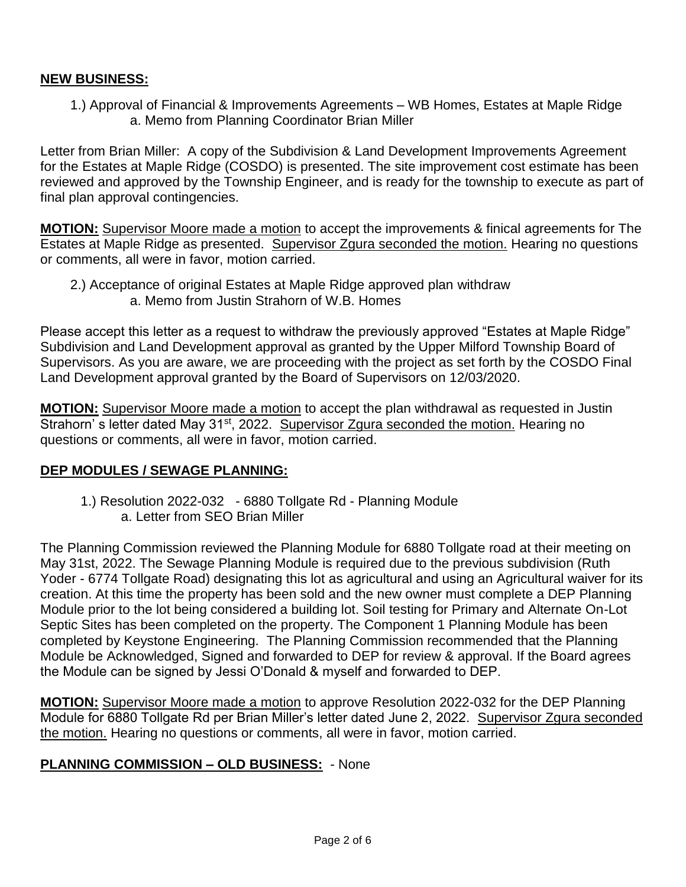## **NEW BUSINESS:**

 1.) Approval of Financial & Improvements Agreements – WB Homes, Estates at Maple Ridge a. Memo from Planning Coordinator Brian Miller

Letter from Brian Miller: A copy of the Subdivision & Land Development Improvements Agreement for the Estates at Maple Ridge (COSDO) is presented. The site improvement cost estimate has been reviewed and approved by the Township Engineer, and is ready for the township to execute as part of final plan approval contingencies.

**MOTION:** Supervisor Moore made a motion to accept the improvements & finical agreements for The Estates at Maple Ridge as presented. Supervisor Zgura seconded the motion. Hearing no questions or comments, all were in favor, motion carried.

 2.) Acceptance of original Estates at Maple Ridge approved plan withdraw a. Memo from Justin Strahorn of W.B. Homes

Please accept this letter as a request to withdraw the previously approved "Estates at Maple Ridge" Subdivision and Land Development approval as granted by the Upper Milford Township Board of Supervisors. As you are aware, we are proceeding with the project as set forth by the COSDO Final Land Development approval granted by the Board of Supervisors on 12/03/2020.

**MOTION:** Supervisor Moore made a motion to accept the plan withdrawal as requested in Justin Strahorn' s letter dated May 31<sup>st</sup>, 2022. Supervisor Zgura seconded the motion. Hearing no questions or comments, all were in favor, motion carried.

### **DEP MODULES / SEWAGE PLANNING:**

1.) Resolution 2022-032 - 6880 Tollgate Rd - Planning Module a. Letter from SEO Brian Miller

The Planning Commission reviewed the Planning Module for 6880 Tollgate road at their meeting on May 31st, 2022. The Sewage Planning Module is required due to the previous subdivision (Ruth Yoder - 6774 Tollgate Road) designating this lot as agricultural and using an Agricultural waiver for its creation. At this time the property has been sold and the new owner must complete a DEP Planning Module prior to the lot being considered a building lot. Soil testing for Primary and Alternate On-Lot Septic Sites has been completed on the property. The Component 1 Planning Module has been completed by Keystone Engineering. The Planning Commission recommended that the Planning Module be Acknowledged, Signed and forwarded to DEP for review & approval. If the Board agrees the Module can be signed by Jessi O'Donald & myself and forwarded to DEP.

**MOTION:** Supervisor Moore made a motion to approve Resolution 2022-032 for the DEP Planning Module for 6880 Tollgate Rd per Brian Miller's letter dated June 2, 2022. Supervisor Zgura seconded the motion. Hearing no questions or comments, all were in favor, motion carried.

### **PLANNING COMMISSION – OLD BUSINESS:** - None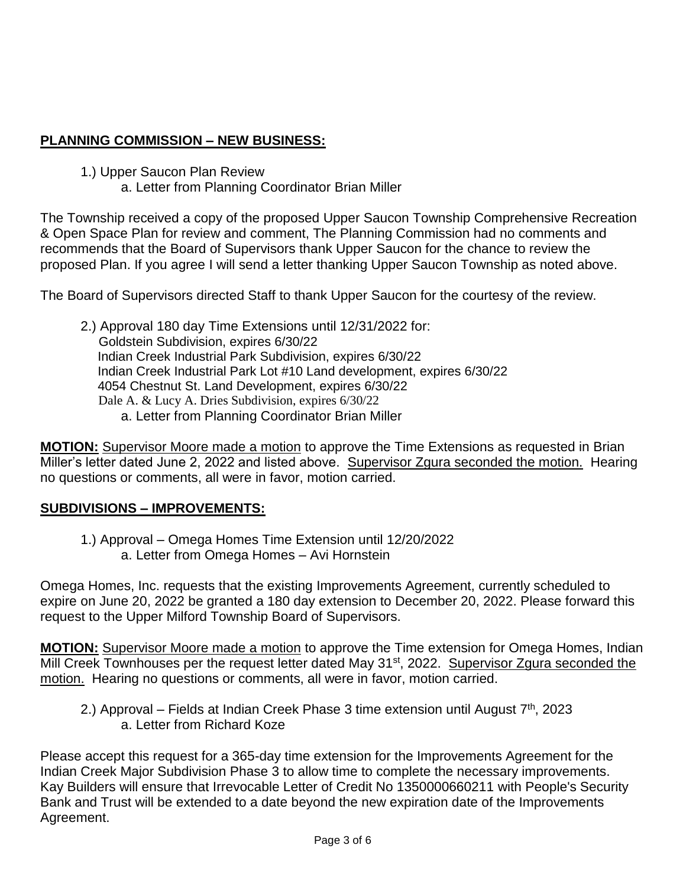# **PLANNING COMMISSION – NEW BUSINESS:**

1.) Upper Saucon Plan Review

a. Letter from Planning Coordinator Brian Miller

The Township received a copy of the proposed Upper Saucon Township Comprehensive Recreation & Open Space Plan for review and comment, The Planning Commission had no comments and recommends that the Board of Supervisors thank Upper Saucon for the chance to review the proposed Plan. If you agree I will send a letter thanking Upper Saucon Township as noted above.

The Board of Supervisors directed Staff to thank Upper Saucon for the courtesy of the review.

2.) Approval 180 day Time Extensions until 12/31/2022 for: Goldstein Subdivision, expires 6/30/22 Indian Creek Industrial Park Subdivision, expires 6/30/22 Indian Creek Industrial Park Lot #10 Land development, expires 6/30/22 4054 Chestnut St. Land Development, expires 6/30/22 Dale A. & Lucy A. Dries Subdivision, expires 6/30/22 a. Letter from Planning Coordinator Brian Miller

**MOTION:** Supervisor Moore made a motion to approve the Time Extensions as requested in Brian Miller's letter dated June 2, 2022 and listed above. Supervisor Zgura seconded the motion. Hearing no questions or comments, all were in favor, motion carried.

# **SUBDIVISIONS – IMPROVEMENTS:**

1.) Approval – Omega Homes Time Extension until 12/20/2022 a. Letter from Omega Homes – Avi Hornstein

Omega Homes, Inc. requests that the existing Improvements Agreement, currently scheduled to expire on June 20, 2022 be granted a 180 day extension to December 20, 2022. Please forward this request to the Upper Milford Township Board of Supervisors.

**MOTION:** Supervisor Moore made a motion to approve the Time extension for Omega Homes, Indian Mill Creek Townhouses per the request letter dated May 31<sup>st</sup>, 2022. Supervisor Zgura seconded the motion. Hearing no questions or comments, all were in favor, motion carried.

2.) Approval – Fields at Indian Creek Phase 3 time extension until August  $7<sup>th</sup>$ , 2023 a. Letter from Richard Koze

Please accept this request for a 365-day time extension for the Improvements Agreement for the Indian Creek Major Subdivision Phase 3 to allow time to complete the necessary improvements. Kay Builders will ensure that Irrevocable Letter of Credit No 1350000660211 with People's Security Bank and Trust will be extended to a date beyond the new expiration date of the Improvements Agreement.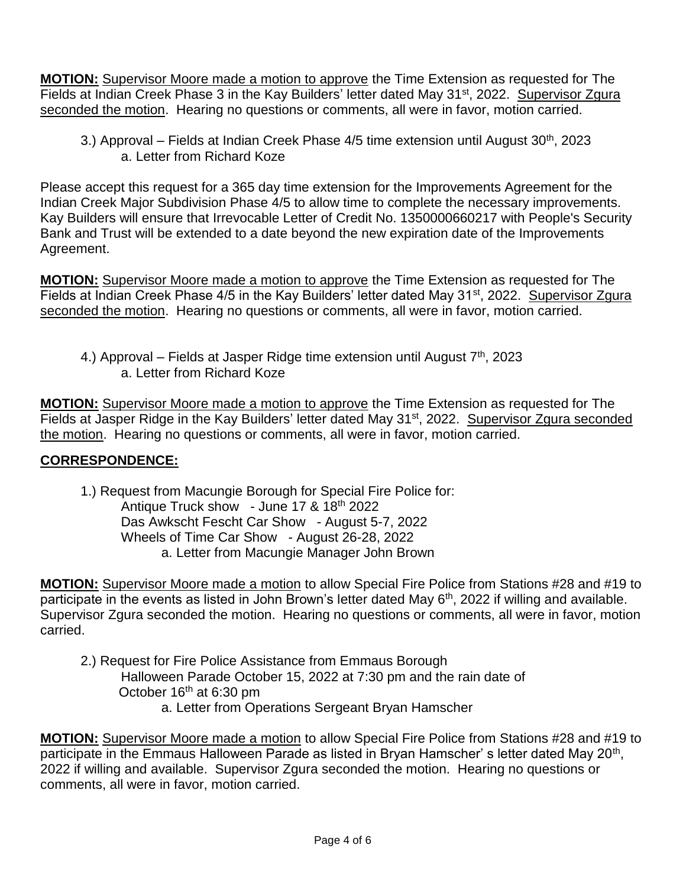**MOTION:** Supervisor Moore made a motion to approve the Time Extension as requested for The Fields at Indian Creek Phase 3 in the Kay Builders' letter dated May 31<sup>st</sup>, 2022. Supervisor Zgura seconded the motion. Hearing no questions or comments, all were in favor, motion carried.

3.) Approval – Fields at Indian Creek Phase  $4/5$  time extension until August  $30<sup>th</sup>$ , 2023 a. Letter from Richard Koze

Please accept this request for a 365 day time extension for the Improvements Agreement for the Indian Creek Major Subdivision Phase 4/5 to allow time to complete the necessary improvements. Kay Builders will ensure that Irrevocable Letter of Credit No. 1350000660217 with People's Security Bank and Trust will be extended to a date beyond the new expiration date of the Improvements Agreement.

**MOTION:** Supervisor Moore made a motion to approve the Time Extension as requested for The Fields at Indian Creek Phase 4/5 in the Kay Builders' letter dated May 31<sup>st</sup>, 2022. Supervisor Zgura seconded the motion. Hearing no questions or comments, all were in favor, motion carried.

4.) Approval – Fields at Jasper Ridge time extension until August  $7<sup>th</sup>$ , 2023 a. Letter from Richard Koze

**MOTION:** Supervisor Moore made a motion to approve the Time Extension as requested for The Fields at Jasper Ridge in the Kay Builders' letter dated May 31<sup>st</sup>, 2022. Supervisor Zgura seconded the motion. Hearing no questions or comments, all were in favor, motion carried.

# **CORRESPONDENCE:**

1.) Request from Macungie Borough for Special Fire Police for: Antique Truck show - June 17 & 18th 2022 Das Awkscht Fescht Car Show - August 5-7, 2022 Wheels of Time Car Show - August 26-28, 2022 a. Letter from Macungie Manager John Brown

**MOTION:** Supervisor Moore made a motion to allow Special Fire Police from Stations #28 and #19 to participate in the events as listed in John Brown's letter dated May 6<sup>th</sup>, 2022 if willing and available. Supervisor Zgura seconded the motion. Hearing no questions or comments, all were in favor, motion carried.

- 2.) Request for Fire Police Assistance from Emmaus Borough Halloween Parade October 15, 2022 at 7:30 pm and the rain date of October 16<sup>th</sup> at 6:30 pm a. Letter from Operations Sergeant Bryan Hamscher
- **MOTION:** Supervisor Moore made a motion to allow Special Fire Police from Stations #28 and #19 to participate in the Emmaus Halloween Parade as listed in Bryan Hamscher' s letter dated May 20<sup>th</sup>, 2022 if willing and available. Supervisor Zgura seconded the motion. Hearing no questions or comments, all were in favor, motion carried.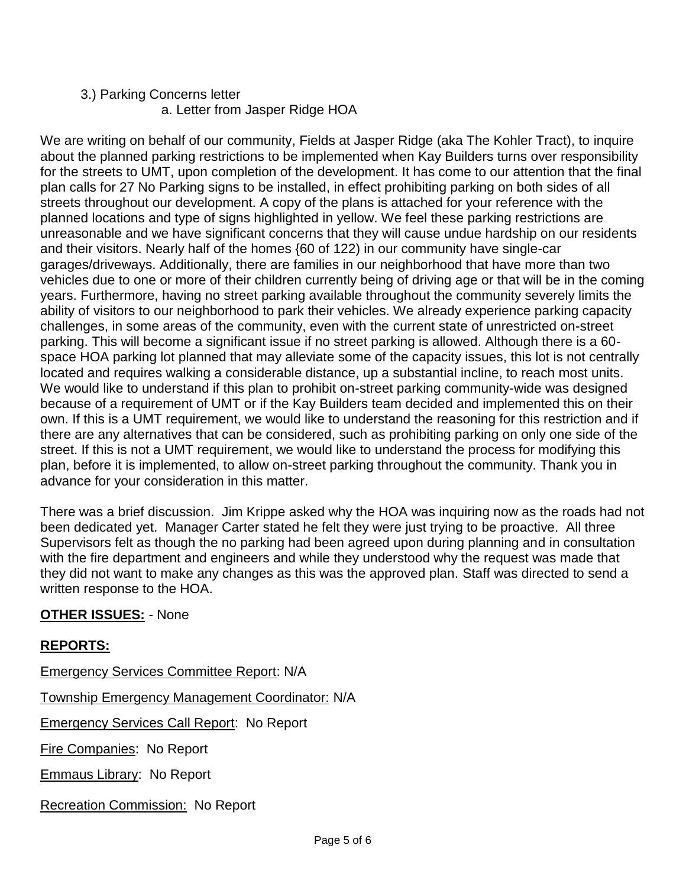# 3.) Parking Concerns letter a. Letter from Jasper Ridge HOA

We are writing on behalf of our community, Fields at Jasper Ridge (aka The Kohler Tract), to inquire about the planned parking restrictions to be implemented when Kay Builders turns over responsibility for the streets to UMT, upon completion of the development. It has come to our attention that the final plan calls for 27 No Parking signs to be installed, in effect prohibiting parking on both sides of all streets throughout our development. A copy of the plans is attached for your reference with the planned locations and type of signs highlighted in yellow. We feel these parking restrictions are unreasonable and we have significant concerns that they will cause undue hardship on our residents and their visitors. Nearly half of the homes {60 of 122) in our community have single-car garages/driveways. Additionally, there are families in our neighborhood that have more than two vehicles due to one or more of their children currently being of driving age or that will be in the coming years. Furthermore, having no street parking available throughout the community severely limits the ability of visitors to our neighborhood to park their vehicles. We already experience parking capacity challenges, in some areas of the community, even with the current state of unrestricted on-street parking. This will become a significant issue if no street parking is allowed. Although there is a 60 space HOA parking lot planned that may alleviate some of the capacity issues, this lot is not centrally located and requires walking a considerable distance, up a substantial incline, to reach most units. We would like to understand if this plan to prohibit on-street parking community-wide was designed because of a requirement of UMT or if the Kay Builders team decided and implemented this on their own. If this is a UMT requirement, we would like to understand the reasoning for this restriction and if there are any alternatives that can be considered, such as prohibiting parking on only one side of the street. If this is not a UMT requirement, we would like to understand the process for modifying this plan, before it is implemented, to allow on-street parking throughout the community. Thank you in advance for your consideration in this matter.

There was a brief discussion. Jim Krippe asked why the HOA was inquiring now as the roads had not been dedicated yet. Manager Carter stated he felt they were just trying to be proactive. All three Supervisors felt as though the no parking had been agreed upon during planning and in consultation with the fire department and engineers and while they understood why the request was made that they did not want to make any changes as this was the approved plan. Staff was directed to send a written response to the HOA.

# **OTHER ISSUES:** - None

# **REPORTS:**

Emergency Services Committee Report: N/A Township Emergency Management Coordinator: N/A Emergency Services Call Report: No Report Fire Companies: No Report **Emmaus Library: No Report** Recreation Commission: No Report